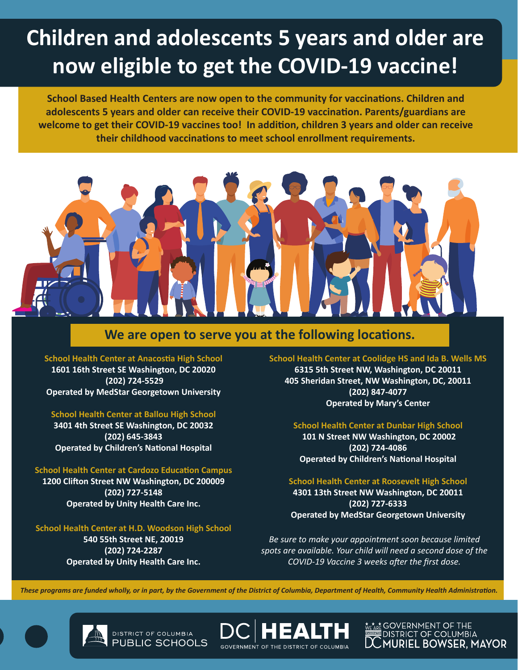# **Children and adolescents 5 years and older are now eligible to get the COVID-19 vaccine!**

**School Based Health Centers are now open to the community for vaccinations. Children and adolescents 5 years and older can receive their COVID-19 vaccination. Parents/guardians are welcome to get their COVID-19 vaccines too! In addition, children 3 years and older can receive their childhood vaccinations to meet school enrollment requirements.**



## **We are open to serve you at the following locations.**

**School Health Center at Anacostia High School 1601 16th Street SE Washington, DC 20020 (202) 724-5529 Operated by MedStar Georgetown University**

#### **School Health Center at Ballou High School**

**3401 4th Street SE Washington, DC 20032 (202) 645-3843 Operated by Children's National Hospital**

#### **School Health Center at Cardozo Education Campus**

**1200 Clifton Street NW Washington, DC 200009 (202) 727-5148 Operated by Unity Health Care Inc.** 

#### **School Health Center at H.D. Woodson High School**

**540 55th Street NE, 20019 (202) 724-2287 Operated by Unity Health Care Inc.** 

> DISTRICT OF COLUMBIA PUBLIC SCHOOLS

**School Health Center at Coolidge HS and Ida B. Wells MS 6315 5th Street NW, Washington, DC 20011 405 Sheridan Street, NW Washington, DC, 20011 (202) 847-4077 Operated by Mary's Center** 

#### **School Health Center at Dunbar High School**

 **101 N Street NW Washington, DC 20002 (202) 724-4086 Operated by Children's National Hospital**

#### **School Health Center at Roosevelt High School 4301 13th Street NW Washington, DC 20011**

**(202) 727-6333 Operated by MedStar Georgetown University**

*Be sure to make your appointment soon because limited spots are available. Your child will need a second dose of the COVID-19 Vaccine 3 weeks after the first dose.*

*These programs are funded wholly, or in part, by the Government of the District of Columbia, Department of Health, Community Health Administration.*